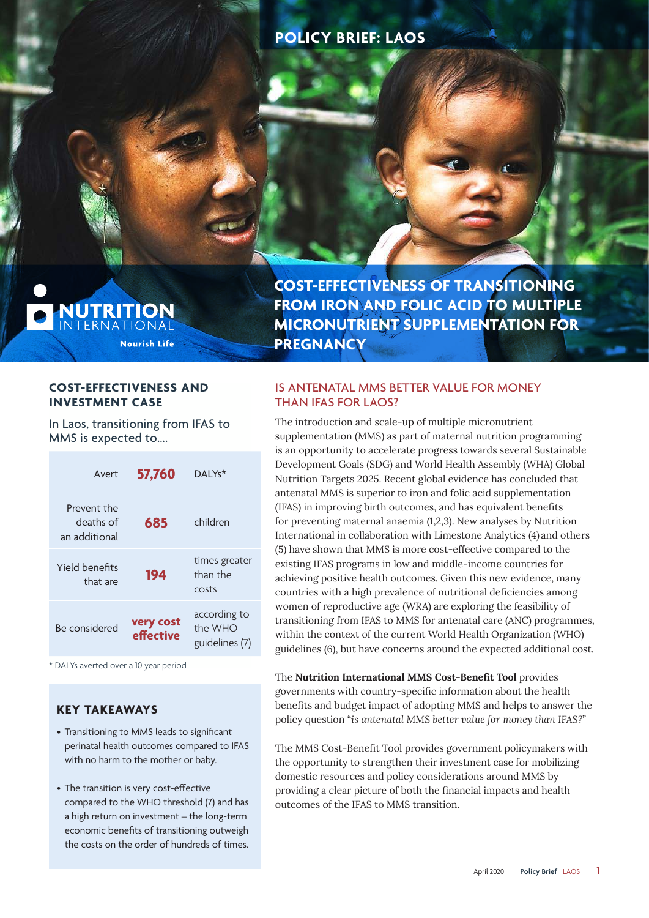# **POLICY BRIEF: LAOS**

**NUTRITION**<br>International **Nourish Life**  **COST-EFFECTIVENESS OF TRANSITIONING FROM IRON AND FOLIC ACID TO MULTIPLE MICRONUTRIENT SUPPLEMENTATION FOR PREGNANCY**

### **COST-EFFECTIVENESS AND INVESTMENT CASE**

In Laos, transitioning from IFAS to MMS is expected to….

| Avert                                     | 57,760                 | DAI Ys <sup>*</sup>                       |
|-------------------------------------------|------------------------|-------------------------------------------|
| Prevent the<br>deaths of<br>an additional | 685                    | children                                  |
| Yield benefits<br>that are                | 194                    | times greater<br>than the<br>costs        |
| Be considered                             | very cost<br>effective | according to<br>the WHO<br>guidelines (7) |

\* DALYs averted over a 10 year period

# **KEY TAKEAWAYS**

- Transitioning to MMS leads to significant perinatal health outcomes compared to IFAS with no harm to the mother or baby.
- The transition is very cost-effective compared to the WHO threshold (7) and has a high return on investment – the long-term economic benefits of transitioning outweigh the costs on the order of hundreds of times.

# IS ANTENATAL MMS BETTER VALUE FOR MONEY THAN IFAS FOR LAOS?

The introduction and scale-up of multiple micronutrient supplementation (MMS) as part of maternal nutrition programming is an opportunity to accelerate progress towards several Sustainable Development Goals (SDG) and World Health Assembly (WHA) Global Nutrition Targets 2025. Recent global evidence has concluded that antenatal MMS is superior to iron and folic acid supplementation (IFAS) in improving birth outcomes, and has equivalent benefits for preventing maternal anaemia (1,2,3). New analyses by Nutrition International in collaboration with Limestone Analytics (4) and others (5) have shown that MMS is more cost-effective compared to the existing IFAS programs in low and middle-income countries for achieving positive health outcomes. Given this new evidence, many countries with a high prevalence of nutritional deficiencies among women of reproductive age (WRA) are exploring the feasibility of transitioning from IFAS to MMS for antenatal care (ANC) programmes, within the context of the current World Health Organization (WHO) guidelines (6), but have concerns around the expected additional cost.

The **Nutrition International MMS Cost-Benefit Tool** provides governments with country-specific information about the health benefits and budget impact of adopting MMS and helps to answer the policy question "*is antenatal MMS better value for money than IFAS?*"

The MMS Cost-Benefit Tool provides government policymakers with the opportunity to strengthen their investment case for mobilizing domestic resources and policy considerations around MMS by providing a clear picture of both the financial impacts and health outcomes of the IFAS to MMS transition.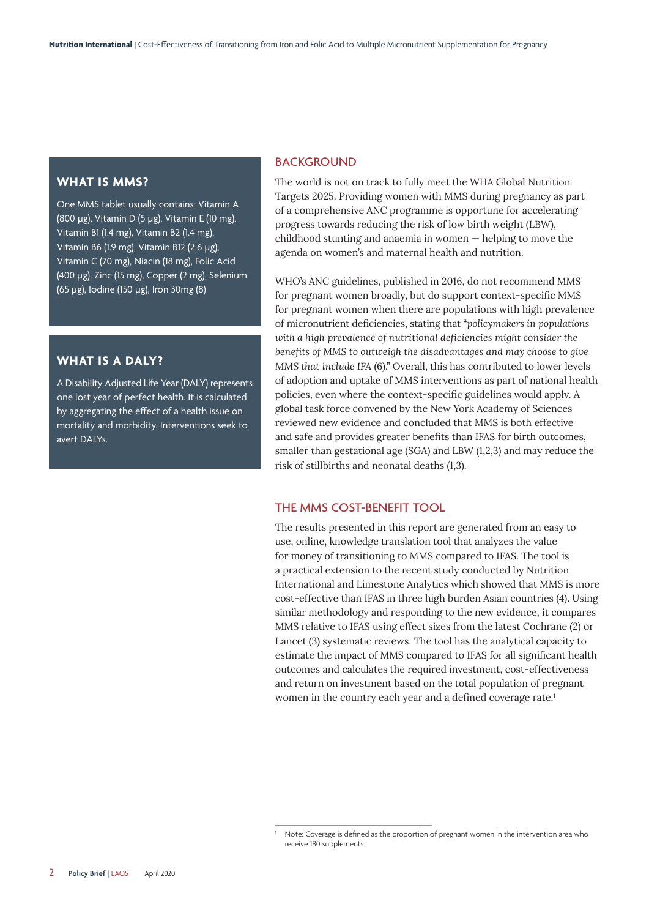#### **WHAT IS MMS?**

One MMS tablet usually contains: Vitamin A (800 µg), Vitamin D (5 µg), Vitamin E (10 mg), Vitamin B1 (1.4 mg), Vitamin B2 (1.4 mg), Vitamin B6 (1.9 mg), Vitamin B12 (2.6 µg), Vitamin C (70 mg), Niacin (18 mg), Folic Acid (400 µg), Zinc (15 mg), Copper (2 mg), Selenium (65 µg), Iodine (150 µg), Iron 30mg (8)

#### **WHAT IS A DALY?**

A Disability Adjusted Life Year (DALY) represents one lost year of perfect health. It is calculated by aggregating the effect of a health issue on mortality and morbidity. Interventions seek to avert DALYs.

#### **BACKGROUND**

The world is not on track to fully meet the WHA Global Nutrition Targets 2025. Providing women with MMS during pregnancy as part of a comprehensive ANC programme is opportune for accelerating progress towards reducing the risk of low birth weight (LBW), childhood stunting and anaemia in women — helping to move the agenda on women's and maternal health and nutrition.

WHO's ANC guidelines, published in 2016, do not recommend MMS for pregnant women broadly, but do support context-specific MMS for pregnant women when there are populations with high prevalence of micronutrient deficiencies, stating that "*policymakers in populations with a high prevalence of nutritional deficiencies might consider the benefits of MMS to outweigh the disadvantages and may choose to give MMS that include IFA* (6)." Overall, this has contributed to lower levels of adoption and uptake of MMS interventions as part of national health policies, even where the context-specific guidelines would apply. A global task force convened by the New York Academy of Sciences reviewed new evidence and concluded that MMS is both effective and safe and provides greater benefits than IFAS for birth outcomes, smaller than gestational age (SGA) and LBW (1,2,3) and may reduce the risk of stillbirths and neonatal deaths (1,3).

#### THE MMS COST-BENEFIT TOOL

The results presented in this report are generated from an easy to use, online, knowledge translation tool that analyzes the value for money of transitioning to MMS compared to IFAS. The tool is a practical extension to the recent study conducted by Nutrition International and Limestone Analytics which showed that MMS is more cost-effective than IFAS in three high burden Asian countries (4). Using similar methodology and responding to the new evidence, it compares MMS relative to IFAS using effect sizes from the latest Cochrane (2) or Lancet (3) systematic reviews. The tool has the analytical capacity to estimate the impact of MMS compared to IFAS for all significant health outcomes and calculates the required investment, cost-effectiveness and return on investment based on the total population of pregnant women in the country each year and a defined coverage rate.<sup>1</sup>

<sup>1</sup> Note: Coverage is defined as the proportion of pregnant women in the intervention area who receive 180 supplements.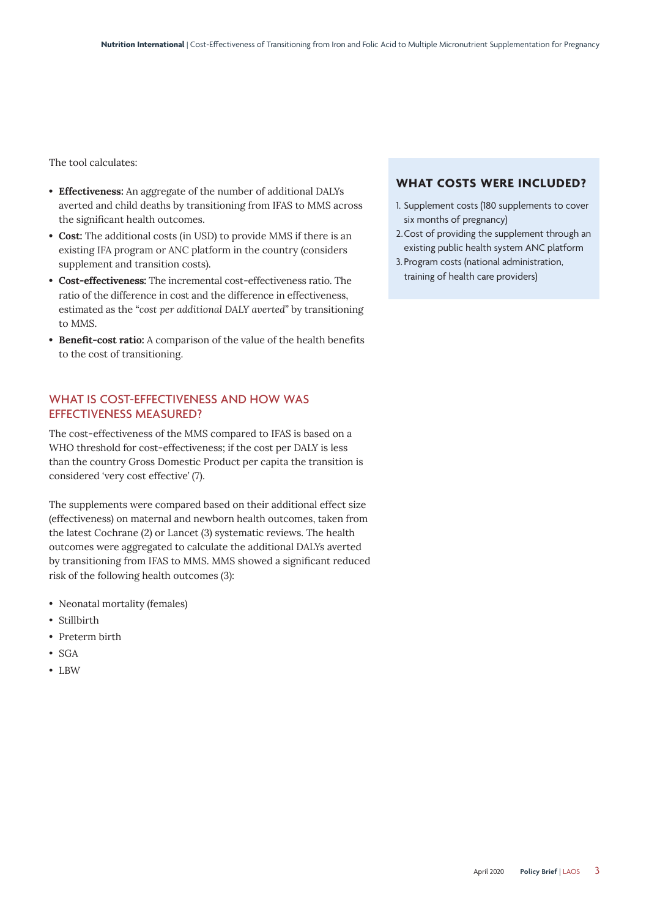The tool calculates:

- **Effectiveness:** An aggregate of the number of additional DALYs averted and child deaths by transitioning from IFAS to MMS across the significant health outcomes.
- **Cost:** The additional costs (in USD) to provide MMS if there is an existing IFA program or ANC platform in the country (considers supplement and transition costs).
- **Cost-effectiveness:** The incremental cost-effectiveness ratio. The ratio of the difference in cost and the difference in effectiveness, estimated as the "*cost per additional DALY averted*" by transitioning to MMS.
- **Benefit-cost ratio:** A comparison of the value of the health benefits to the cost of transitioning.

### WHAT IS COST-EFFECTIVENESS AND HOW WAS EFFECTIVENESS MEASURED?

The cost-effectiveness of the MMS compared to IFAS is based on a WHO threshold for cost-effectiveness; if the cost per DALY is less than the country Gross Domestic Product per capita the transition is considered 'very cost effective' (7).

The supplements were compared based on their additional effect size (effectiveness) on maternal and newborn health outcomes, taken from the latest Cochrane (2) or Lancet (3) systematic reviews. The health outcomes were aggregated to calculate the additional DALYs averted by transitioning from IFAS to MMS. MMS showed a significant reduced risk of the following health outcomes (3):

- Neonatal mortality (females)
- Stillbirth
- Preterm birth
- $\bullet$  SGA
- LBW

#### **WHAT COSTS WERE INCLUDED?**

- 1. Supplement costs (180 supplements to cover six months of pregnancy)
- 2. Cost of providing the supplement through an existing public health system ANC platform
- 3. Program costs (national administration, training of health care providers)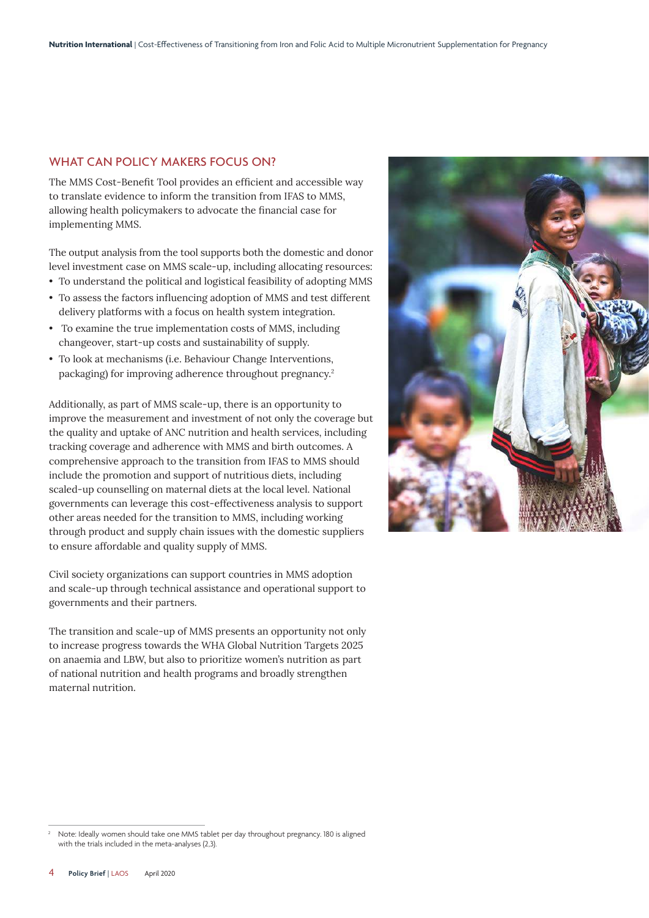### WHAT CAN POLICY MAKERS FOCUS ON?

The MMS Cost-Benefit Tool provides an efficient and accessible way to translate evidence to inform the transition from IFAS to MMS, allowing health policymakers to advocate the financial case for implementing MMS.

The output analysis from the tool supports both the domestic and donor level investment case on MMS scale-up, including allocating resources:

- To understand the political and logistical feasibility of adopting MMS
- To assess the factors influencing adoption of MMS and test different delivery platforms with a focus on health system integration.
- To examine the true implementation costs of MMS, including changeover, start-up costs and sustainability of supply.
- To look at mechanisms (i.e. Behaviour Change Interventions, packaging) for improving adherence throughout pregnancy.<sup>2</sup>

Additionally, as part of MMS scale-up, there is an opportunity to improve the measurement and investment of not only the coverage but the quality and uptake of ANC nutrition and health services, including tracking coverage and adherence with MMS and birth outcomes. A comprehensive approach to the transition from IFAS to MMS should include the promotion and support of nutritious diets, including scaled-up counselling on maternal diets at the local level. National governments can leverage this cost-effectiveness analysis to support other areas needed for the transition to MMS, including working through product and supply chain issues with the domestic suppliers to ensure affordable and quality supply of MMS.

Civil society organizations can support countries in MMS adoption and scale-up through technical assistance and operational support to governments and their partners.

The transition and scale-up of MMS presents an opportunity not only to increase progress towards the WHA Global Nutrition Targets 2025 on anaemia and LBW, but also to prioritize women's nutrition as part of national nutrition and health programs and broadly strengthen maternal nutrition.



<sup>2</sup> Note: Ideally women should take one MMS tablet per day throughout pregnancy. 180 is aligned with the trials included in the meta-analyses (2,3).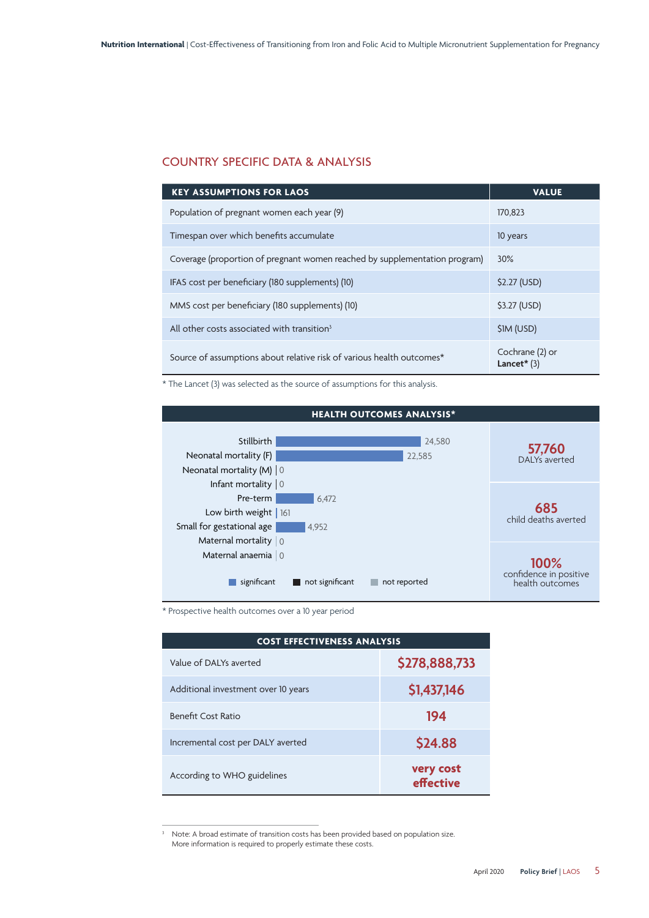## COUNTRY SPECIFIC DATA & ANALYSIS

| <b>KEY ASSUMPTIONS FOR LAOS</b>                                            | <b>VALUE</b>                     |
|----------------------------------------------------------------------------|----------------------------------|
| Population of pregnant women each year (9)                                 | 170.823                          |
| Timespan over which benefits accumulate                                    | 10 years                         |
| Coverage (proportion of pregnant women reached by supplementation program) | 30%                              |
| IFAS cost per beneficiary (180 supplements) (10)                           | \$2.27 (USD)                     |
| MMS cost per beneficiary (180 supplements) (10)                            | \$3.27 (USD)                     |
| All other costs associated with transition <sup>3</sup>                    | \$1M (USD)                       |
| Source of assumptions about relative risk of various health outcomes*      | Cochrane (2) or<br>Lancet $*(3)$ |

\* The Lancet (3) was selected as the source of assumptions for this analysis.



\* Prospective health outcomes over a 10 year period

| <b>COST EFFECTIVENESS ANALYSIS</b>  |                        |  |
|-------------------------------------|------------------------|--|
| Value of DAI Ys averted             | \$278,888,733          |  |
| Additional investment over 10 years | \$1,437,146            |  |
| <b>Benefit Cost Ratio</b>           | 194                    |  |
| Incremental cost per DALY averted   | \$24.88                |  |
| According to WHO guidelines         | very cost<br>effective |  |

<sup>&</sup>lt;sup>3</sup> Note: A broad estimate of transition costs has been provided based on population size. More information is required to properly estimate these costs.